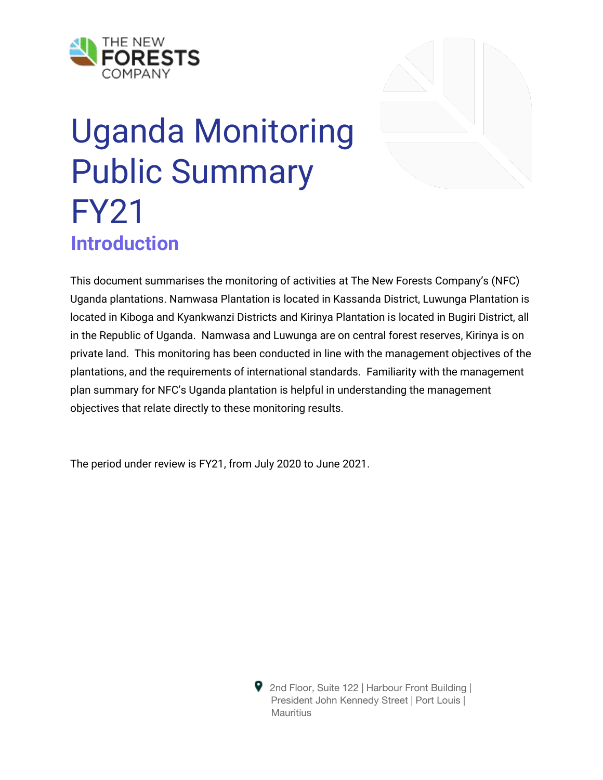

# Uganda Monitoring Public Summary FY21 **Introduction**

This document summarises the monitoring of activities at The New Forests Company's (NFC) Uganda plantations. Namwasa Plantation is located in Kassanda District, Luwunga Plantation is located in Kiboga and Kyankwanzi Districts and Kirinya Plantation is located in Bugiri District, all in the Republic of Uganda. Namwasa and Luwunga are on central forest reserves, Kirinya is on private land. This monitoring has been conducted in line with the management objectives of the plantations, and the requirements of international standards. Familiarity with the management plan summary for NFC's Uganda plantation is helpful in understanding the management objectives that relate directly to these monitoring results.

The period under review is FY21, from July 2020 to June 2021.

**9** 2nd Floor, Suite 122 | Harbour Front Building | President John Kennedy Street | Port Louis | Mauritius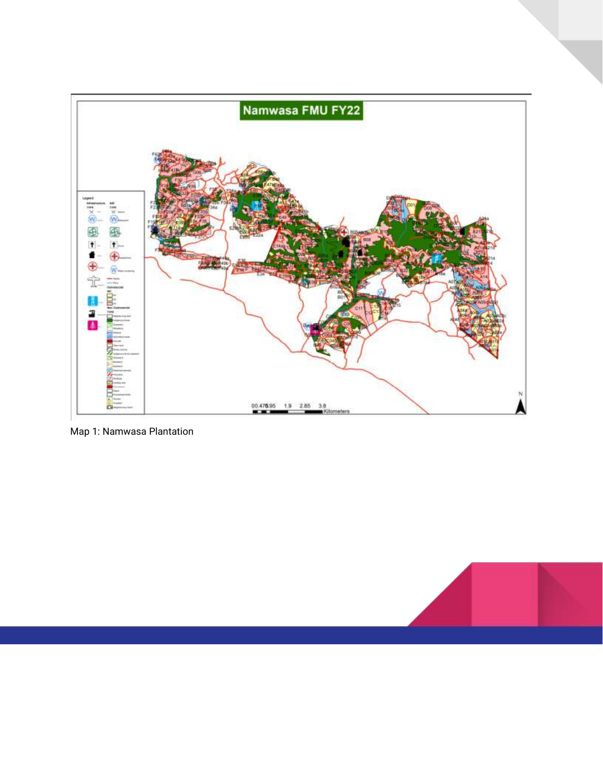

Map 1: Namwasa Plantation

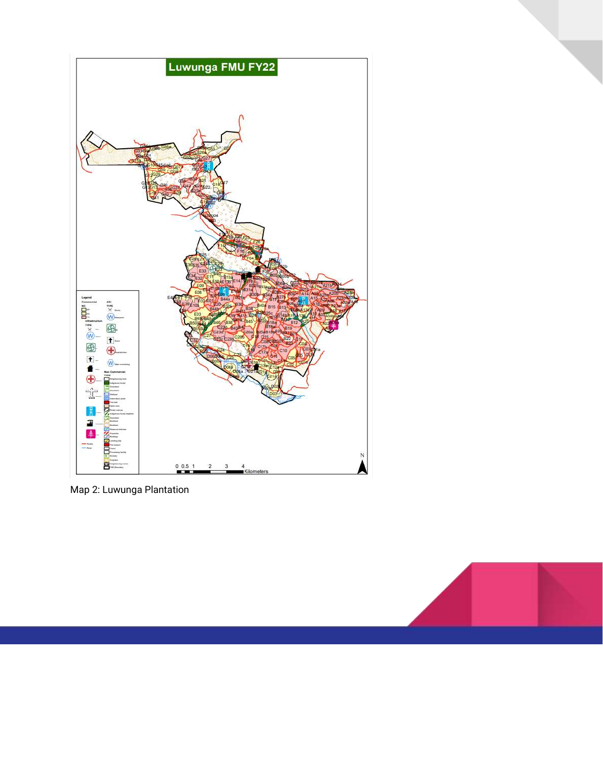

Map 2: Luwunga Plantation

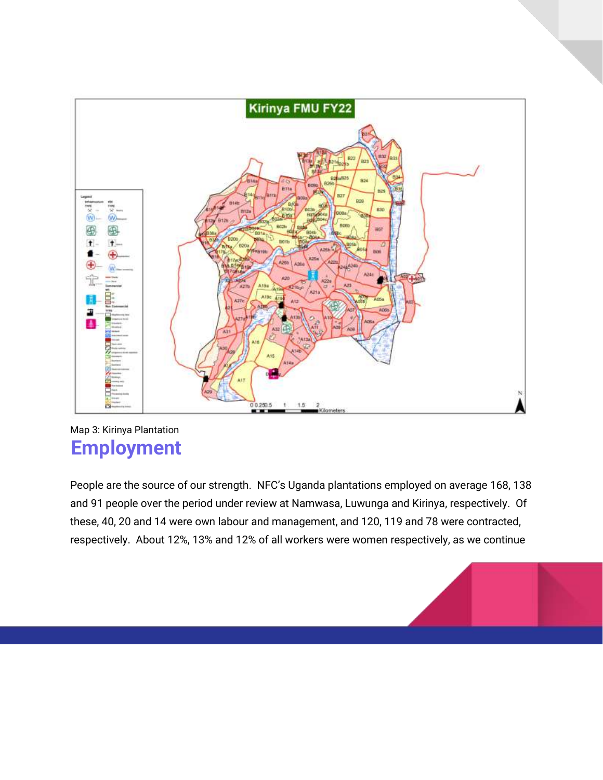

#### Map 3: Kirinya Plantation **Employment**

People are the source of our strength. NFC's Uganda plantations employed on average 168, 138 and 91 people over the period under review at Namwasa, Luwunga and Kirinya, respectively. Of these, 40, 20 and 14 were own labour and management, and 120, 119 and 78 were contracted, respectively. About 12%, 13% and 12% of all workers were women respectively, as we continue

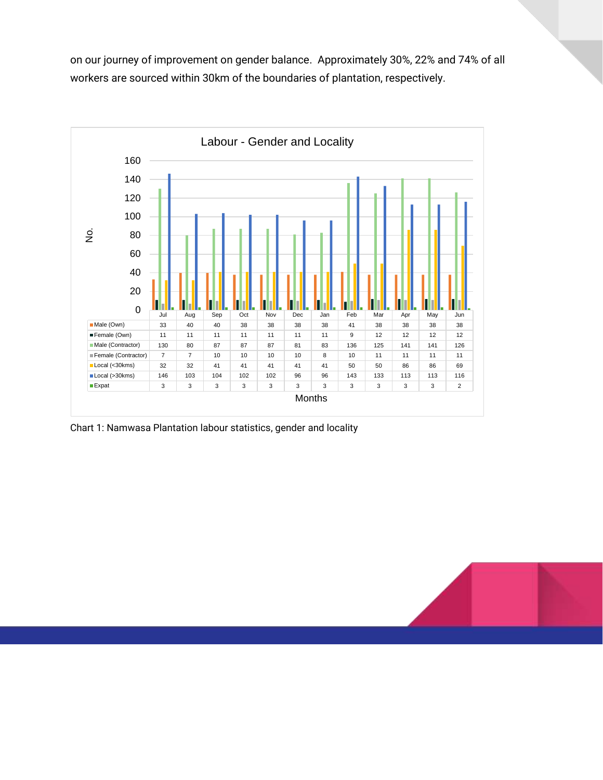on our journey of improvement on gender balance. Approximately 30%, 22% and 74% of all workers are sourced within 30km of the boundaries of plantation, respectively.



Chart 1: Namwasa Plantation labour statistics, gender and locality

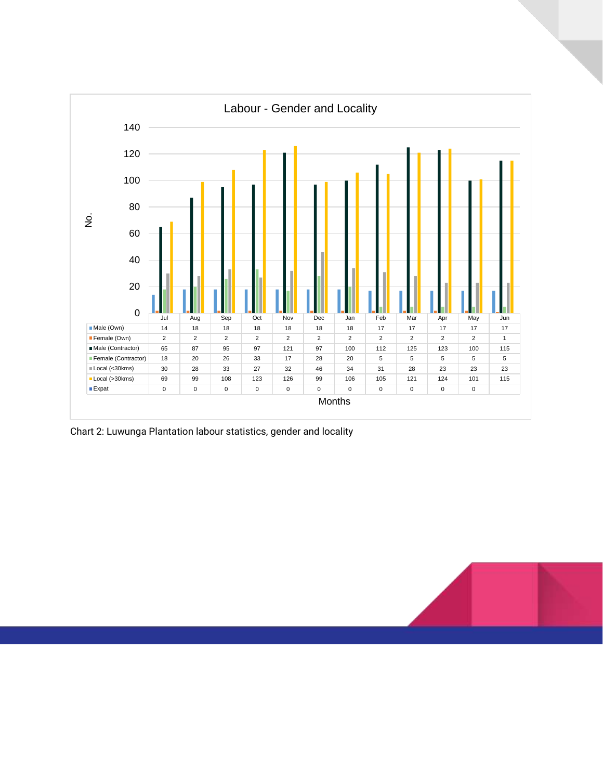

Chart 2: Luwunga Plantation labour statistics, gender and locality

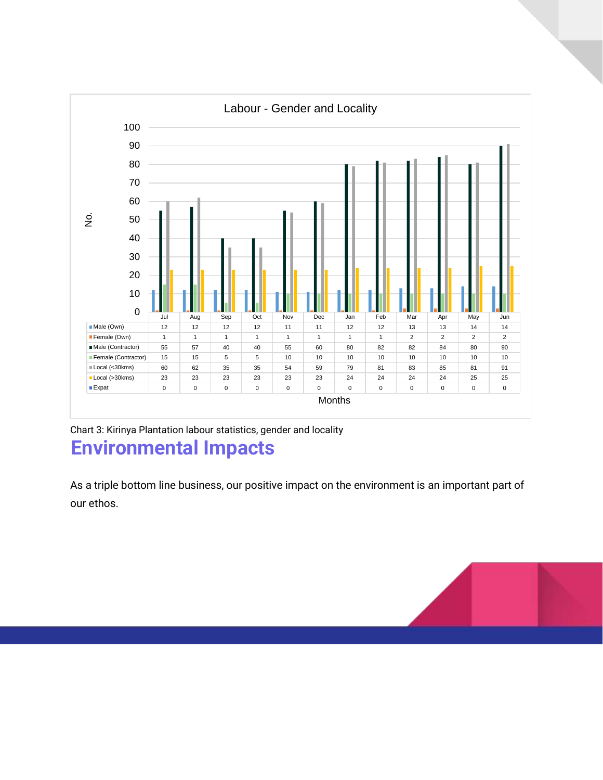

Chart 3: Kirinya Plantation labour statistics, gender and locality **Environmental Impacts**

As a triple bottom line business, our positive impact on the environment is an important part of our ethos.

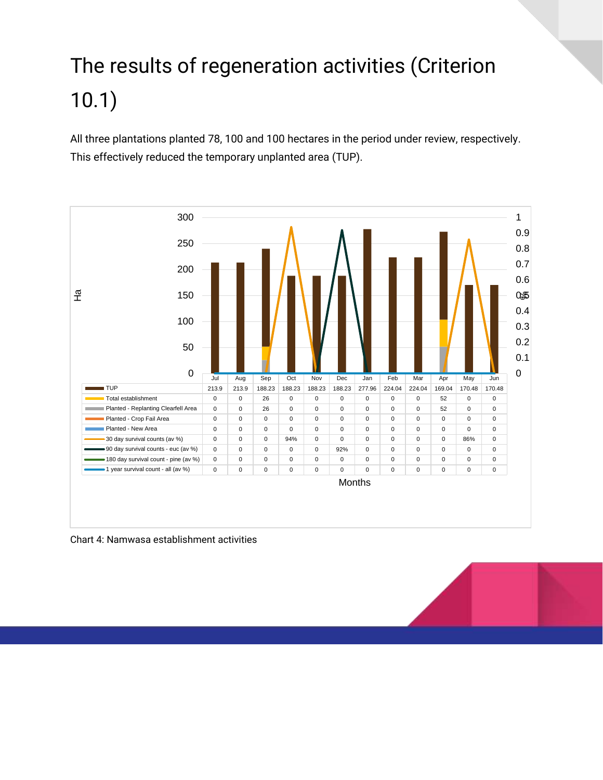### The results of regeneration activities (Criterion 10.1)

All three plantations planted 78, 100 and 100 hectares in the period under review, respectively. This effectively reduced the temporary unplanted area (TUP).



Chart 4: Namwasa establishment activities

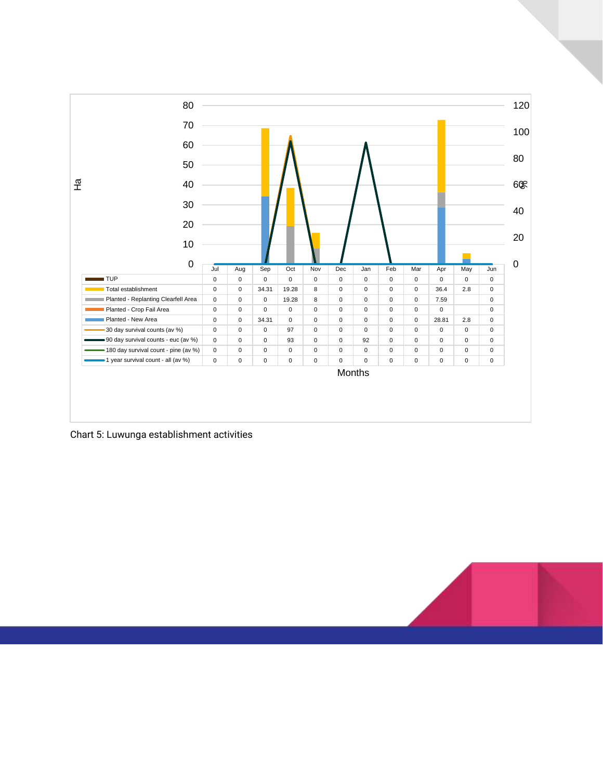

Chart 5: Luwunga establishment activities

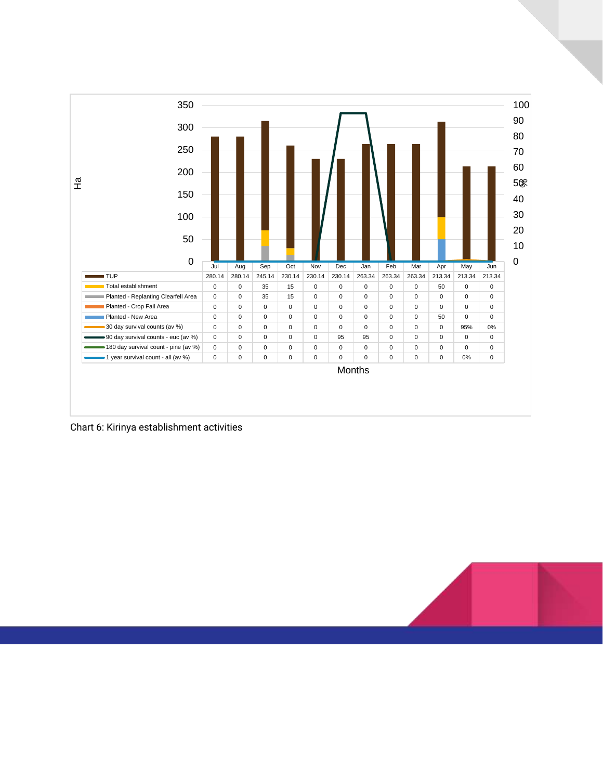

Chart 6: Kirinya establishment activities

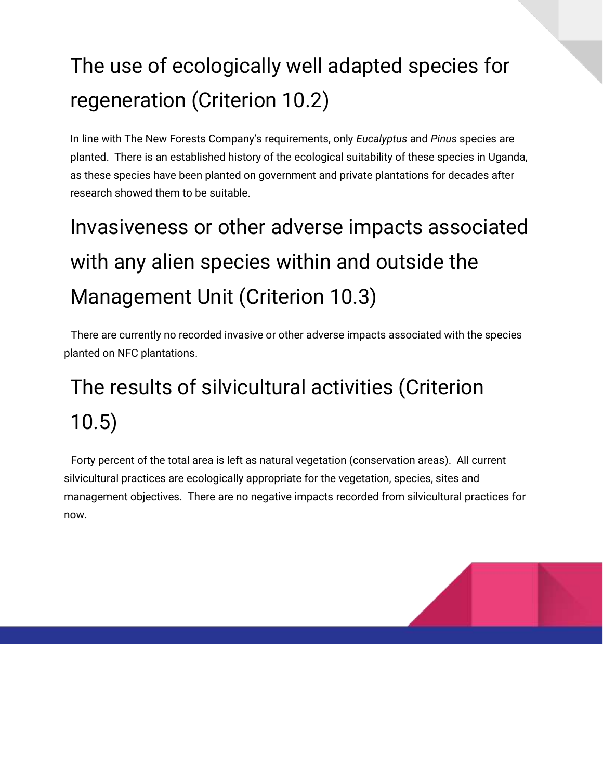#### The use of ecologically well adapted species for regeneration (Criterion 10.2)

In line with The New Forests Company's requirements, only *Eucalyptus* and *Pinus* species are planted. There is an established history of the ecological suitability of these species in Uganda, as these species have been planted on government and private plantations for decades after research showed them to be suitable.

## Invasiveness or other adverse impacts associated with any alien species within and outside the Management Unit (Criterion 10.3)

There are currently no recorded invasive or other adverse impacts associated with the species planted on NFC plantations.

### The results of silvicultural activities (Criterion 10.5)

Forty percent of the total area is left as natural vegetation (conservation areas). All current silvicultural practices are ecologically appropriate for the vegetation, species, sites and management objectives. There are no negative impacts recorded from silvicultural practices for now.

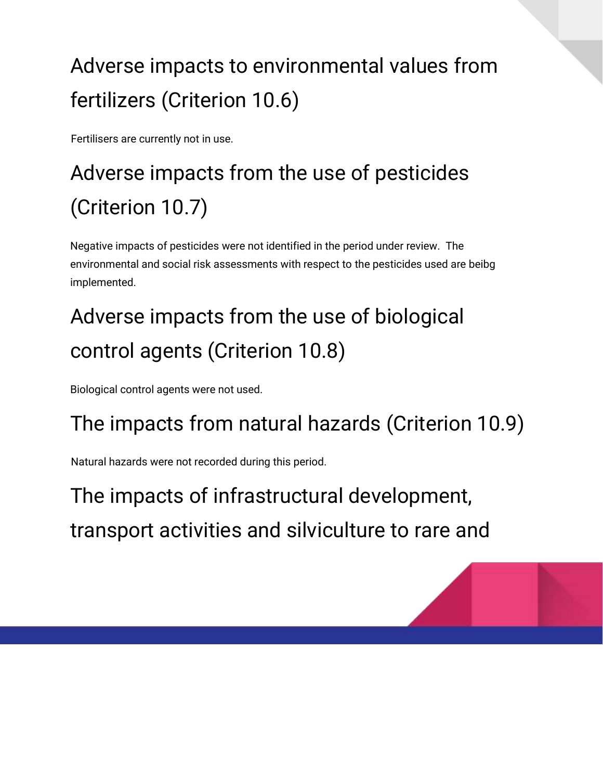#### Adverse impacts to environmental values from fertilizers (Criterion 10.6)

Fertilisers are currently not in use.

## Adverse impacts from the use of pesticides (Criterion 10.7)

Negative impacts of pesticides were not identified in the period under review. The environmental and social risk assessments with respect to the pesticides used are beibg implemented.

### Adverse impacts from the use of biological control agents (Criterion 10.8)

Biological control agents were not used.

#### The impacts from natural hazards (Criterion 10.9)

Natural hazards were not recorded during this period.

The impacts of infrastructural development, transport activities and silviculture to rare and

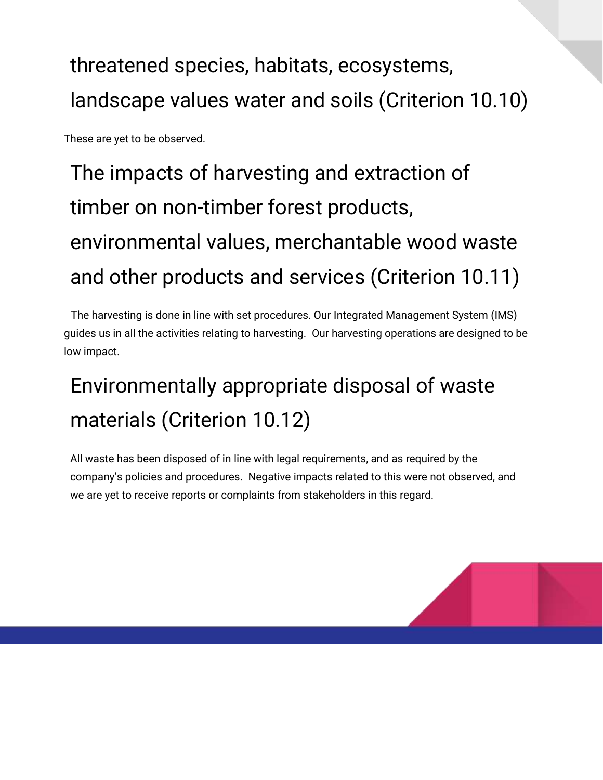#### threatened species, habitats, ecosystems, landscape values water and soils (Criterion 10.10)

These are yet to be observed.

## The impacts of harvesting and extraction of timber on non-timber forest products, environmental values, merchantable wood waste and other products and services (Criterion 10.11)

The harvesting is done in line with set procedures. Our Integrated Management System (IMS) guides us in all the activities relating to harvesting. Our harvesting operations are designed to be low impact.

#### Environmentally appropriate disposal of waste materials (Criterion 10.12)

All waste has been disposed of in line with legal requirements, and as required by the company's policies and procedures. Negative impacts related to this were not observed, and we are yet to receive reports or complaints from stakeholders in this regard.

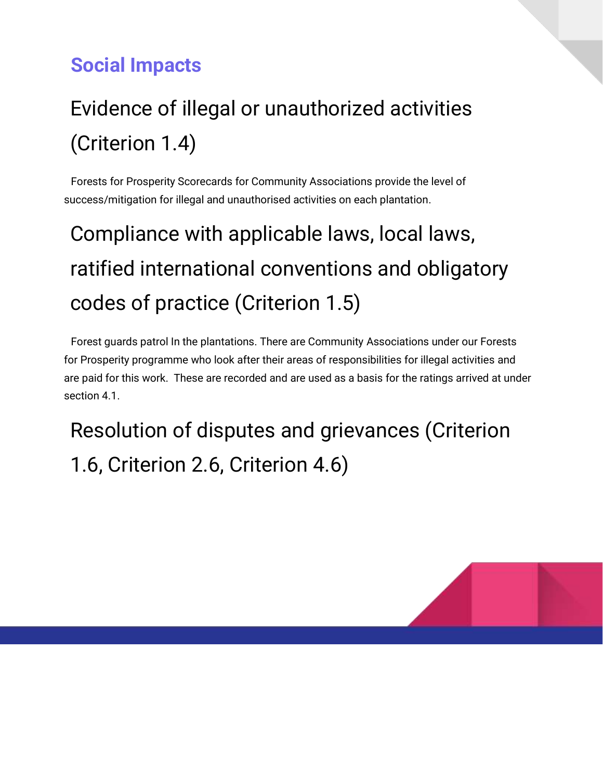#### **Social Impacts**

#### Evidence of illegal or unauthorized activities (Criterion 1.4)

Forests for Prosperity Scorecards for Community Associations provide the level of success/mitigation for illegal and unauthorised activities on each plantation.

### Compliance with applicable laws, local laws, ratified international conventions and obligatory codes of practice (Criterion 1.5)

Forest guards patrol In the plantations. There are Community Associations under our Forests for Prosperity programme who look after their areas of responsibilities for illegal activities and are paid for this work. These are recorded and are used as a basis for the ratings arrived at under section 4.1

Resolution of disputes and grievances (Criterion 1.6, Criterion 2.6, Criterion 4.6)

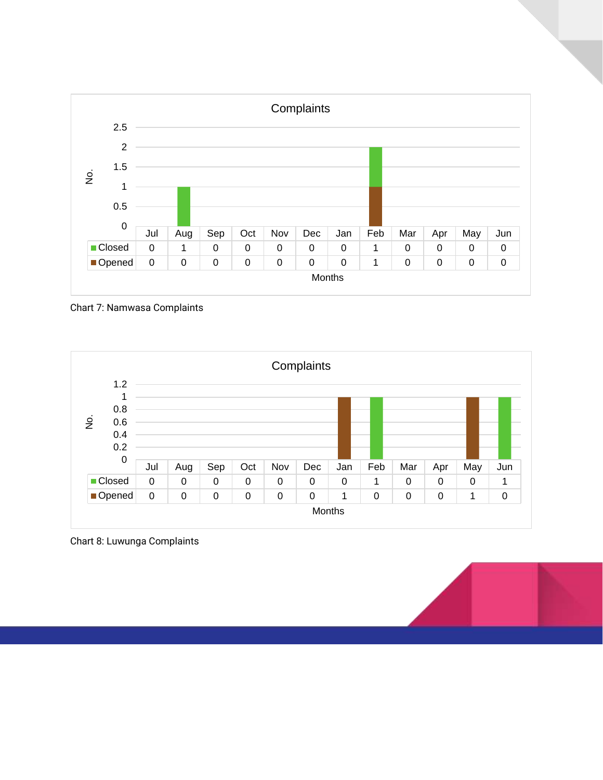

Chart 7: Namwasa Complaints



Chart 8: Luwunga Complaints

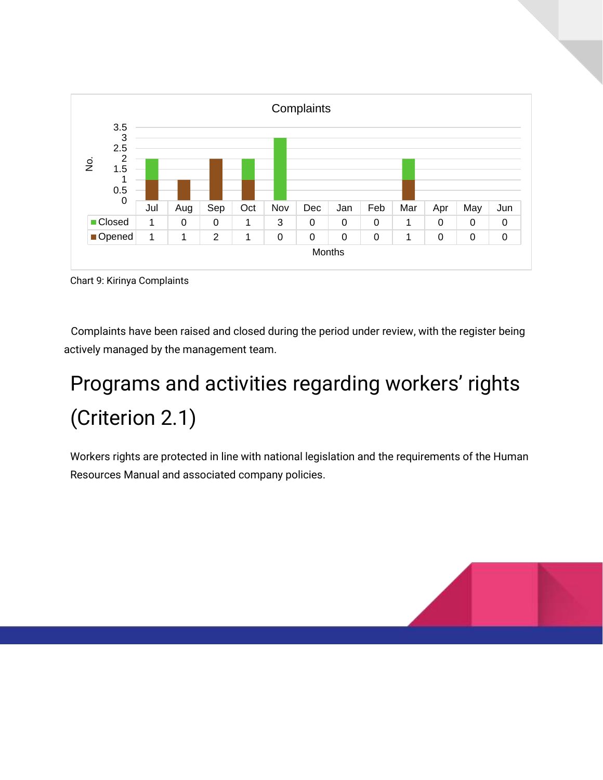

Chart 9: Kirinya Complaints

Complaints have been raised and closed during the period under review, with the register being actively managed by the management team.

#### Programs and activities regarding workers' rights (Criterion 2.1)

Workers rights are protected in line with national legislation and the requirements of the Human Resources Manual and associated company policies.

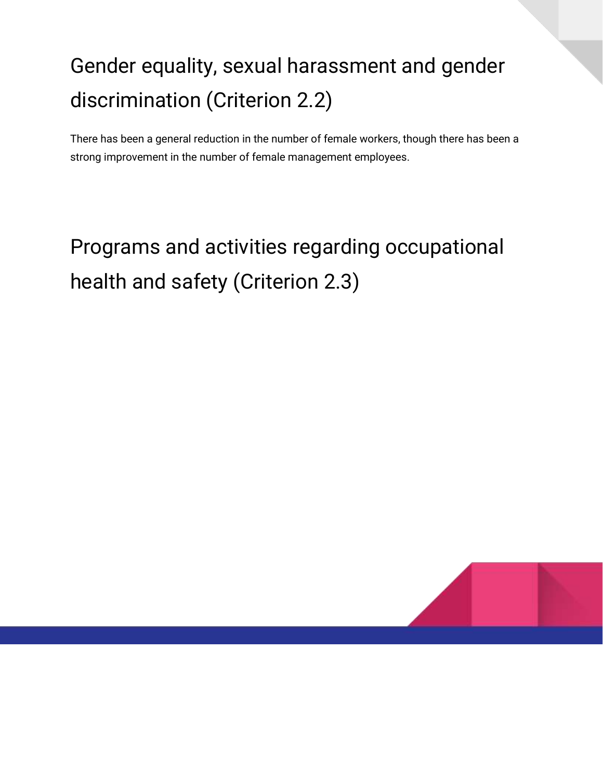#### Gender equality, sexual harassment and gender discrimination (Criterion 2.2)

There has been a general reduction in the number of female workers, though there has been a strong improvement in the number of female management employees.

#### Programs and activities regarding occupational health and safety (Criterion 2.3)

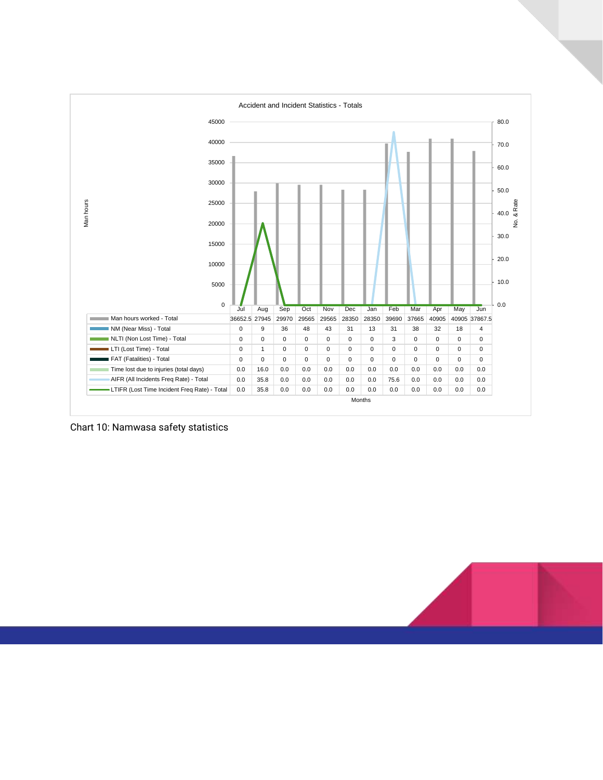

Chart 10: Namwasa safety statistics

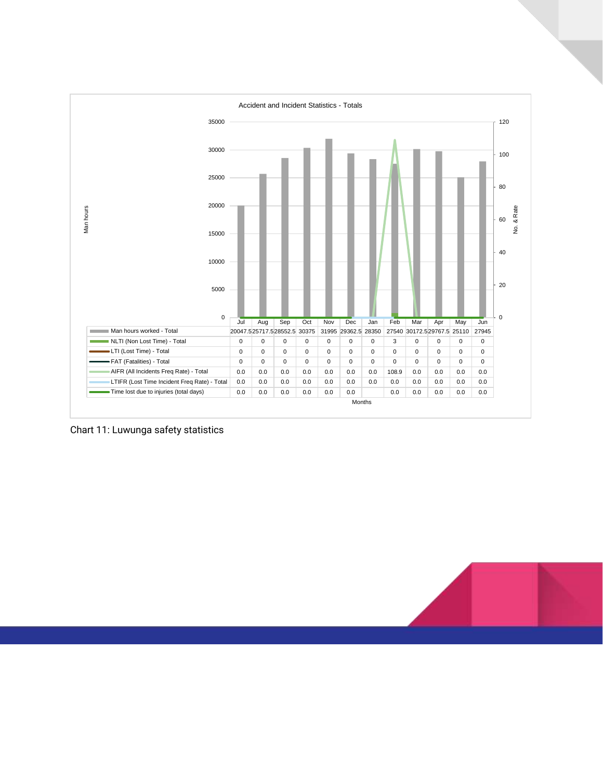

Chart 11: Luwunga safety statistics

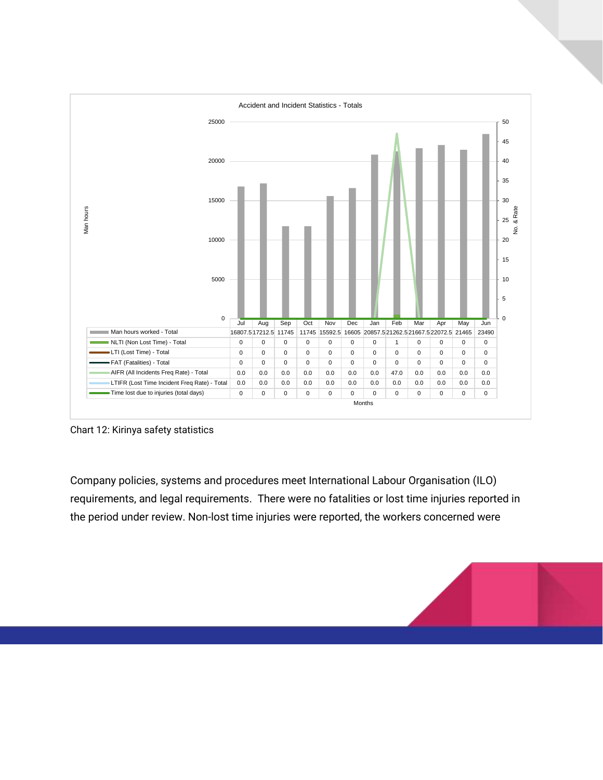

Chart 12: Kirinya safety statistics

Company policies, systems and procedures meet International Labour Organisation (ILO) requirements, and legal requirements. There were no fatalities or lost time injuries reported in the period under review. Non-lost time injuries were reported, the workers concerned were

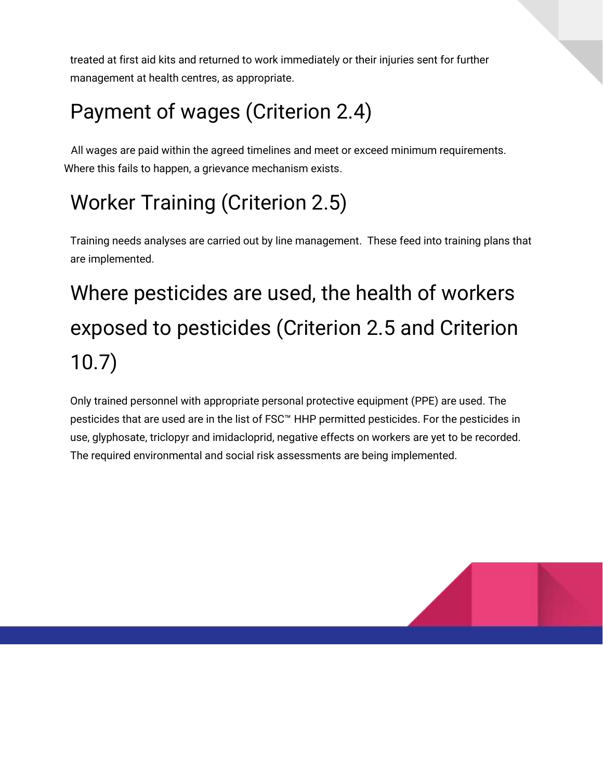treated at first aid kits and returned to work immediately or their injuries sent for further management at health centres, as appropriate.

#### Payment of wages (Criterion 2.4)

All wages are paid within the agreed timelines and meet or exceed minimum requirements. Where this fails to happen, a grievance mechanism exists.

#### Worker Training (Criterion 2.5)

Training needs analyses are carried out by line management. These feed into training plans that are implemented.

## Where pesticides are used, the health of workers exposed to pesticides (Criterion 2.5 and Criterion 10.7)

Only trained personnel with appropriate personal protective equipment (PPE) are used. The pesticides that are used are in the list of FSC<sup>™</sup> HHP permitted pesticides. For the pesticides in use, glyphosate, triclopyr and imidacloprid, negative effects on workers are yet to be recorded. The required environmental and social risk assessments are being implemented.

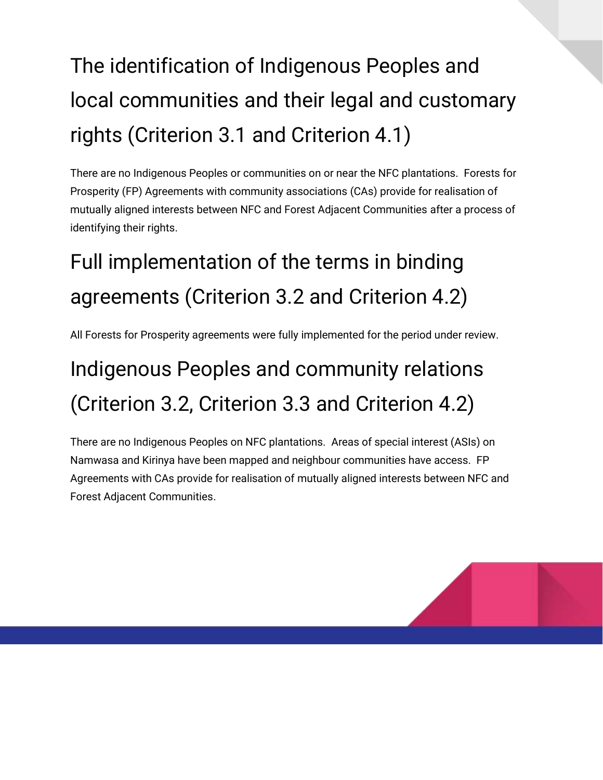## The identification of Indigenous Peoples and local communities and their legal and customary rights (Criterion 3.1 and Criterion 4.1)

There are no Indigenous Peoples or communities on or near the NFC plantations. Forests for Prosperity (FP) Agreements with community associations (CAs) provide for realisation of mutually aligned interests between NFC and Forest Adjacent Communities after a process of identifying their rights.

#### Full implementation of the terms in binding agreements (Criterion 3.2 and Criterion 4.2)

All Forests for Prosperity agreements were fully implemented for the period under review.

#### Indigenous Peoples and community relations (Criterion 3.2, Criterion 3.3 and Criterion 4.2)

There are no Indigenous Peoples on NFC plantations. Areas of special interest (ASIs) on Namwasa and Kirinya have been mapped and neighbour communities have access. FP Agreements with CAs provide for realisation of mutually aligned interests between NFC and Forest Adjacent Communities.

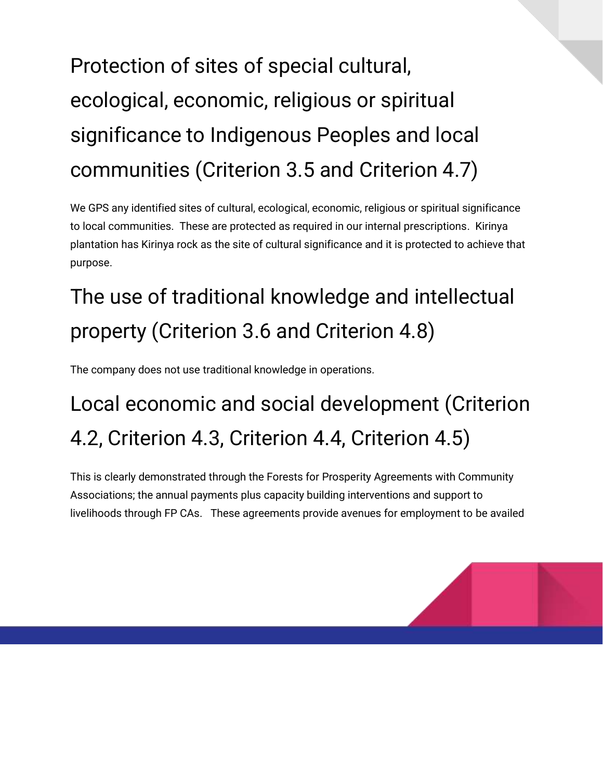## Protection of sites of special cultural, ecological, economic, religious or spiritual significance to Indigenous Peoples and local communities (Criterion 3.5 and Criterion 4.7)

We GPS any identified sites of cultural, ecological, economic, religious or spiritual significance to local communities. These are protected as required in our internal prescriptions. Kirinya plantation has Kirinya rock as the site of cultural significance and it is protected to achieve that purpose.

### The use of traditional knowledge and intellectual property (Criterion 3.6 and Criterion 4.8)

The company does not use traditional knowledge in operations.

#### Local economic and social development (Criterion 4.2, Criterion 4.3, Criterion 4.4, Criterion 4.5)

This is clearly demonstrated through the Forests for Prosperity Agreements with Community Associations; the annual payments plus capacity building interventions and support to livelihoods through FP CAs. These agreements provide avenues for employment to be availed

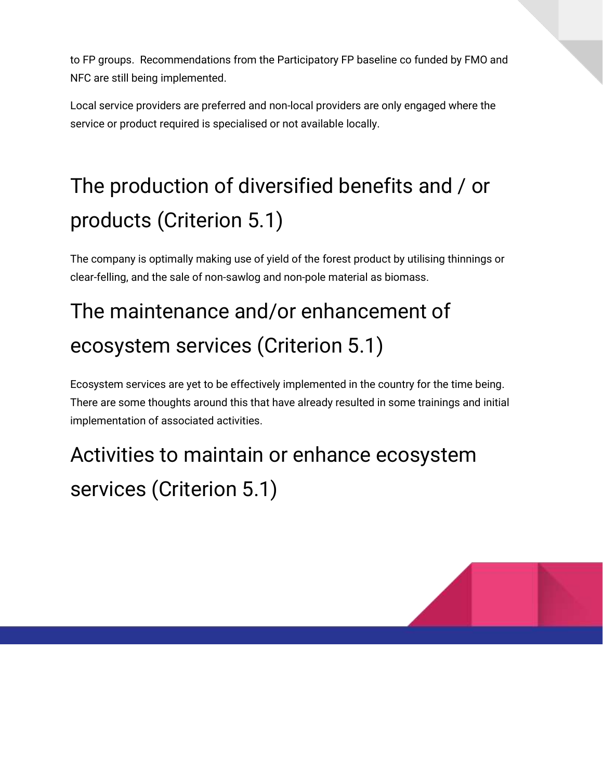to FP groups. Recommendations from the Participatory FP baseline co funded by FMO and NFC are still being implemented.

Local service providers are preferred and non-local providers are only engaged where the service or product required is specialised or not available locally.

### The production of diversified benefits and / or products (Criterion 5.1)

The company is optimally making use of yield of the forest product by utilising thinnings or clear-felling, and the sale of non-sawlog and non-pole material as biomass.

#### The maintenance and/or enhancement of ecosystem services (Criterion 5.1)

Ecosystem services are yet to be effectively implemented in the country for the time being. There are some thoughts around this that have already resulted in some trainings and initial implementation of associated activities.

#### Activities to maintain or enhance ecosystem services (Criterion 5.1)

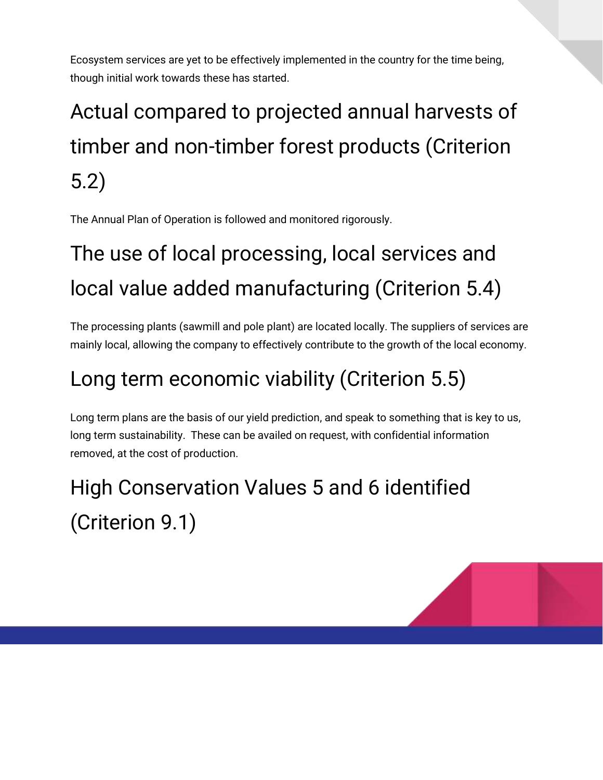Ecosystem services are yet to be effectively implemented in the country for the time being, though initial work towards these has started.

## Actual compared to projected annual harvests of timber and non-timber forest products (Criterion 5.2)

The Annual Plan of Operation is followed and monitored rigorously.

### The use of local processing, local services and local value added manufacturing (Criterion 5.4)

The processing plants (sawmill and pole plant) are located locally. The suppliers of services are mainly local, allowing the company to effectively contribute to the growth of the local economy.

#### Long term economic viability (Criterion 5.5)

Long term plans are the basis of our yield prediction, and speak to something that is key to us, long term sustainability. These can be availed on request, with confidential information removed, at the cost of production.

### High Conservation Values 5 and 6 identified (Criterion 9.1)

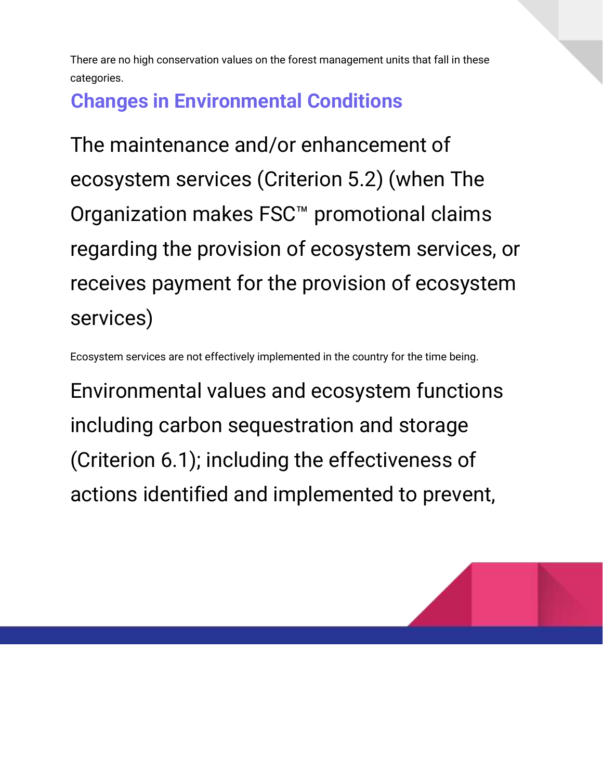There are no high conservation values on the forest management units that fall in these categories.

#### **Changes in Environmental Conditions**

The maintenance and/or enhancement of ecosystem services (Criterion 5.2) (when The Organization makes FSC™ promotional claims regarding the provision of ecosystem services, or receives payment for the provision of ecosystem services)

Ecosystem services are not effectively implemented in the country for the time being.

Environmental values and ecosystem functions including carbon sequestration and storage (Criterion 6.1); including the effectiveness of actions identified and implemented to prevent,

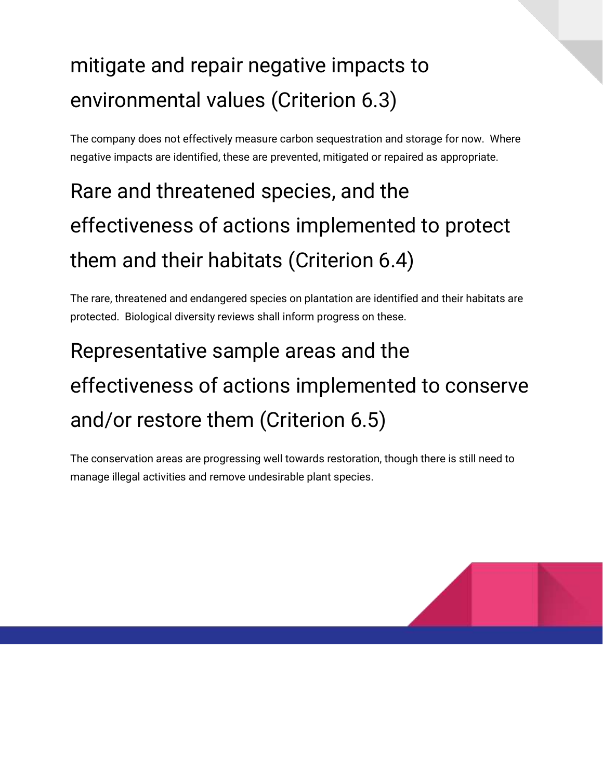#### mitigate and repair negative impacts to environmental values (Criterion 6.3)

The company does not effectively measure carbon sequestration and storage for now. Where negative impacts are identified, these are prevented, mitigated or repaired as appropriate.

### Rare and threatened species, and the effectiveness of actions implemented to protect them and their habitats (Criterion 6.4)

The rare, threatened and endangered species on plantation are identified and their habitats are protected. Biological diversity reviews shall inform progress on these.

## Representative sample areas and the effectiveness of actions implemented to conserve and/or restore them (Criterion 6.5)

The conservation areas are progressing well towards restoration, though there is still need to manage illegal activities and remove undesirable plant species.

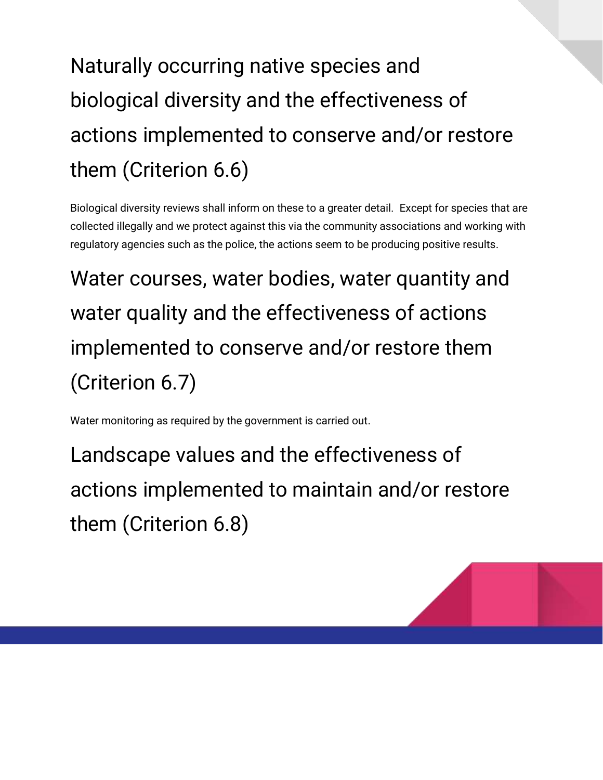## Naturally occurring native species and biological diversity and the effectiveness of actions implemented to conserve and/or restore them (Criterion 6.6)

Biological diversity reviews shall inform on these to a greater detail. Except for species that are collected illegally and we protect against this via the community associations and working with regulatory agencies such as the police, the actions seem to be producing positive results.

Water courses, water bodies, water quantity and water quality and the effectiveness of actions implemented to conserve and/or restore them (Criterion 6.7)

Water monitoring as required by the government is carried out.

Landscape values and the effectiveness of actions implemented to maintain and/or restore them (Criterion 6.8)

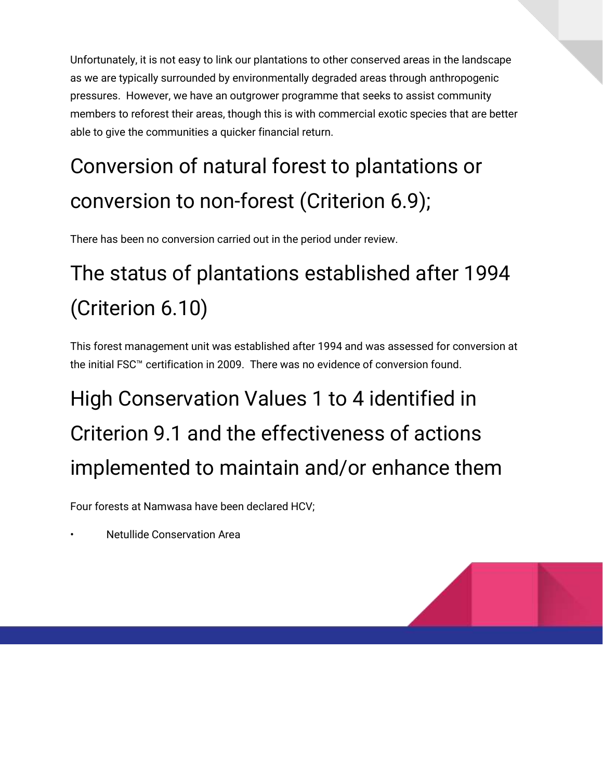Unfortunately, it is not easy to link our plantations to other conserved areas in the landscape as we are typically surrounded by environmentally degraded areas through anthropogenic pressures. However, we have an outgrower programme that seeks to assist community members to reforest their areas, though this is with commercial exotic species that are better able to give the communities a quicker financial return.

## Conversion of natural forest to plantations or conversion to non-forest (Criterion 6.9);

There has been no conversion carried out in the period under review.

### The status of plantations established after 1994 (Criterion 6.10)

This forest management unit was established after 1994 and was assessed for conversion at the initial FSC™ certification in 2009. There was no evidence of conversion found.

## High Conservation Values 1 to 4 identified in Criterion 9.1 and the effectiveness of actions implemented to maintain and/or enhance them

Four forests at Namwasa have been declared HCV;

• Netullide Conservation Area